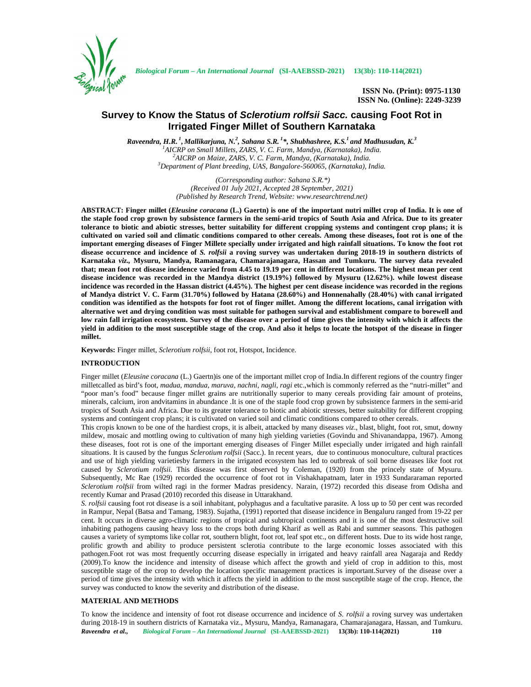

# **Survey to Know the Status of** *Sclerotium rolfsii Sacc.* **causing Foot Rot in Irrigated Finger Millet of Southern Karnataka**

*Raveendra, H.R. <sup>1</sup> , Mallikarjuna, N.<sup>2</sup> , Sahana S.R. <sup>1</sup>\*, Shubhashree, K.S.<sup>1</sup> and Madhusudan, K.<sup>3</sup>*  ${}^{1}$ AICRP on Small Millets, ZARS, V. C. Farm, Mandya, (Karnataka), India.<br> ${}^{2}$ AICRP on Maize, ZARS, V. C. Farm, Mandya, (Karnataka), India.<br> ${}^{3}$ Department of Plant breeding, UAS, Bangalore-560065, (Karnataka), India

> *(Corresponding author: Sahana S.R.\*) (Received 01 July 2021, Accepted 28 September, 2021) (Published by Research Trend, Website: <www.researchtrend.net>)*

**ABSTRACT: Finger millet (***Eleusine coracana* **(L.) Gaertn) is one of the important nutri millet crop of India. It is one of the staple food crop grown by subsistence farmers in the semi-arid tropics of South Asia and Africa. Due to its greater tolerance to biotic and abiotic stresses, better suitability for different cropping systems and contingent crop plans; it is cultivated on varied soil and climatic conditions compared to other cereals. Among these diseases, foot rot is one of the important emerging diseases of Finger Millete specially under irrigated and high rainfall situations. To know the foot rot disease occurrence and incidence of** *S. rolfsii* **a roving survey was undertaken during 2018-19 in southern districts of Karnataka** *viz.,* **Mysuru, Mandya, Ramanagara, Chamarajanagara, Hassan and Tumkuru. The survey data revealed that; mean foot rot disease incidence varied from 4.45 to 19.19 per cent in different locations. The highest mean per cent disease incidence was recorded in the Mandya district (19.19%) followed by Mysuru (12.62%). while lowest disease incidence was recorded in the Hassan district (4.45%). The highest per cent disease incidence was recorded in the regions of Mandya district V. C. Farm (31.70%) followed by Hatana (28.60%) and Honnenahally (28.40%) with canal irrigated condition was identified as the hotspots for foot rot of finger millet. Among the different locations, canal irrigation with alternative wet and drying condition was most suitable for pathogen survival and establishment compare to borewell and low rain fall irrigation ecosystem. Survey of the disease over a period of time gives the intensity with which it affects the yield in addition to the most susceptible stage of the crop. And also it helps to locate the hotspot of the disease in finger millet.**

**Keywords:** Finger millet, *Sclerotium rolfsii*, foot rot, Hotspot, Incidence.

### **INTRODUCTION**

Finger millet (*Eleusine coracana* (L.) Gaertn)is one of the important millet crop of India.In different regions of the country finger milletcalled as bird's foot, *madua*, *mandua*, *maruva*, *nachni, nagli*, *ragi* etc.,which is commonly referred as the "nutri-millet" and "poor man's food" because finger millet grains are nutritionally superior to many cereals providing fair amount of proteins, minerals, calcium, iron andvitamins in abundance .It is one of the staple food crop grown by subsistence farmers in the semi-arid tropics of South Asia and Africa. Due to its greater tolerance to biotic and abiotic stresses, better suitability for different cropping systems and contingent crop plans; it is cultivated on varied soil and climatic conditions compared to other cereals.

This cropis known to be one of the hardiest crops, it is albeit, attacked by many diseases *viz*., blast, blight, foot rot, smut, downy mildew, mosaic and mottling owing to cultivation of many high yielding varieties (Govindu and Shivanandappa, 1967). Among these diseases, foot rot is one of the important emerging diseases of Finger Millet especially under irrigated and high rainfall situations. It is caused by the fungus *Sclerotium rolfsii* (Sacc.). In recent years, due to continuous monoculture, cultural practices and use of high yielding varietiesby farmers in the irrigated ecosystem has led to outbreak of soil borne diseases like foot rot caused by *Sclerotium rolfsii.* This disease was first observed by Coleman, (1920) from the princely state of Mysuru. Subsequently, Mc Rae (1929) recorded the occurrence of foot rot in Vishakhapatnam, later in 1933 Sundararaman reported *Sclerotium rolfsii* from wilted ragi in the former Madras presidency. Narain, (1972) recorded this disease from Odisha and recently Kumar and Prasad (2010) recorded this disease in Uttarakhand.

*S. rolfsii* causing foot rot disease is a soil inhabitant, polyphagus and a facultative parasite. A loss up to 50 per cent was recorded in Rampur, Nepal (Batsa and Tamang, 1983). Sujatha, (1991) reported that disease incidence in Bengaluru ranged from 19-22 per cent. It occurs in diverse agro-climatic regions of tropical and subtropical continents and it is one of the most destructive soil inhabiting pathogens causing heavy loss to the crops both during Kharif as well as Rabi and summer seasons. This pathogen causes a variety of symptoms like collar rot, southern blight, foot rot, leaf spot etc., on different hosts. Due to its wide host range, prolific growth and ability to produce persistent sclerotia contribute to the large economic losses associated with this pathogen.Foot rot was most frequently occurring disease especially in irrigated and heavy rainfall area Nagaraja and Reddy (2009).To know the incidence and intensity of disease which affect the growth and yield of crop in addition to this, most susceptible stage of the crop to develop the location specific management practices is important.Survey of the disease over a period of time gives the intensity with which it affects the yield in addition to the most susceptible stage of the crop. Hence, the survey was conducted to know the severity and distribution of the disease.

## **MATERIAL AND METHODS**

*Raveendra et al., Biological Forum – An International Journal* **(SI-AAEBSSD-2021) 13(3b): 110-114(2021) 110** To know the incidence and intensity of foot rot disease occurrence and incidence of *S. rolfsii* a roving survey was undertaken during 2018-19 in southern districts of Karnataka viz., Mysuru, Mandya, Ramanagara, Chamarajanagara, Hassan, and Tumkuru.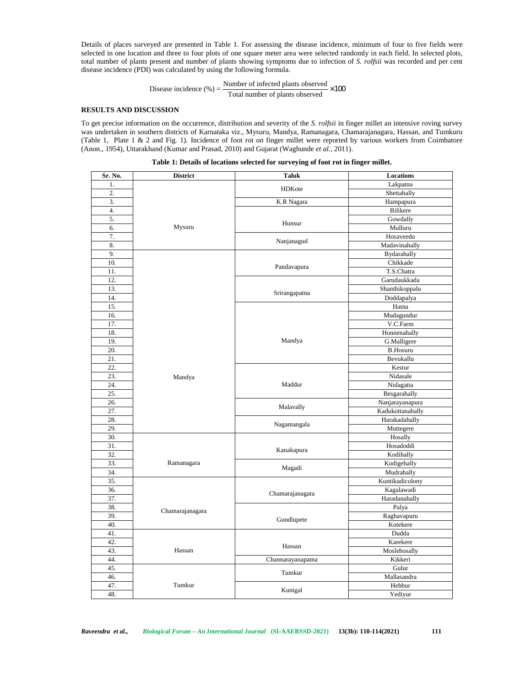Details of places surveyed are presented in Table 1. For assessing the disease incidence, minimum of four to five fields were selected in one location and three to four plots of one square meter area were selected randomly in each field. In selected plots, total number of plants present and number of plants showing symptoms due to infection of *S. rolfsii* was recorded and per cent disease incidence (PDI) was calculated by using the following formula. yed are presented in Table 1. For assessing the disease incidence, minimum of four to five fields<br>a and three to four plots of one square meter area were selected randomly in each field. In selected present and number of

Disease incidence (%) =  $\frac{\text{Number of infected plants observed}}{\text{Total number of plants observed}} \times 100$ 

## **RESULTS AND DISCUSSION**

To get precise information on the occurrence, distribution and severity of the *S. rolfsii* in finger millet an intensive roving survey was undertaken in southern districts of Karnataka viz., Mysuru, Mandya, Ramanagara, Chamarajanagara, Hassan, and Tumkuru (Table 1, Plate 1 & 2 and Fig. 1). Incidence of foot rot on finger millet were reported by various workers from Coimbatore (Anon., 1954), Uttarakhand (Kumar and Prasad, 2010) and Gujarat (Waghunde *et al.,* 2011).

| Sr. No. | <b>District</b> | <b>Taluk</b>      | Locations         |  |
|---------|-----------------|-------------------|-------------------|--|
| 1.      |                 |                   | Lakpatna          |  |
| 2.      |                 | HDKote            | Shettahally       |  |
| 3.      |                 | K.R Nagara        | Hampapura         |  |
| 4.      |                 |                   | Bilikere          |  |
| 5.      |                 |                   | Gowdally          |  |
| 6.      | Mysuru          | Hunsur            | Mulluru           |  |
| 7.      |                 |                   | Hosaveedu         |  |
| 8.      |                 | Nanjanagud        | Madavinahally     |  |
| 9.      |                 |                   | Bydarahally       |  |
| 10.     |                 |                   | Chikkade          |  |
| 11.     |                 | Pandavapura       | T.S.Chatra        |  |
| 12.     |                 |                   | Garudaukkada      |  |
| 13.     |                 |                   | Shanthikoppalu    |  |
| 14.     |                 | Srirangapatna     | Doddapalya        |  |
| 15.     |                 |                   | Hatna             |  |
| 16.     |                 |                   | Mudagundur        |  |
| 17.     |                 |                   | V.C.Farm          |  |
| 18.     |                 |                   | Honnenahally      |  |
| 19.     |                 | Mandya            | G.Malligere       |  |
| 20.     |                 |                   | <b>B.Hosuru</b>   |  |
| 21.     |                 |                   | Bevukallu         |  |
| 22.     |                 |                   | Kestur            |  |
| 23.     | Mandya          |                   | Nidasale          |  |
| 24.     |                 | Maddur            | Nidagatta         |  |
| 25.     |                 |                   | Besgarahally      |  |
| 26.     |                 |                   | Nanjarayanapura   |  |
| 27.     |                 | Malavally         | Kadukottanahally  |  |
| 28.     |                 |                   | Harakadahally     |  |
| 29.     |                 | Nagamangala       | Muttegere         |  |
| 30.     |                 |                   | Hosally           |  |
| 31.     |                 |                   | Hosadoddi         |  |
| 32.     |                 | Kanakapura        | Kodihally         |  |
| 33.     | Ramanagara      |                   | Kodigehally       |  |
| 34.     |                 | Magadi            | Mudrahally        |  |
| 35.     |                 |                   | Kuntikudicolony   |  |
| 36.     |                 |                   | Kagalawadi        |  |
| 37.     |                 | Chamarajanagara   | Haradanahally     |  |
| 38.     |                 |                   | Palya             |  |
| 39.     | Chamarajanagara |                   | Raghavapuru       |  |
| 40.     |                 | Gundlupete        | Kotekere          |  |
| 41.     |                 |                   |                   |  |
| 42.     |                 |                   | Dudda<br>Karekere |  |
| 43.     | Hassan          | Hassan            | Moslehosally      |  |
| 44.     |                 | Channarayanapatna | Kikkeri           |  |
| 45.     |                 |                   | Gulur             |  |
| 46.     |                 | Tumkur            | Mallasandra       |  |
| 47.     | Tumkur          |                   | Hebbur            |  |
| 48.     |                 | Kunigal           | Yediyur           |  |
|         |                 |                   |                   |  |

**Table 1: Details of locations selected for surveying of foot rot in finger millet.**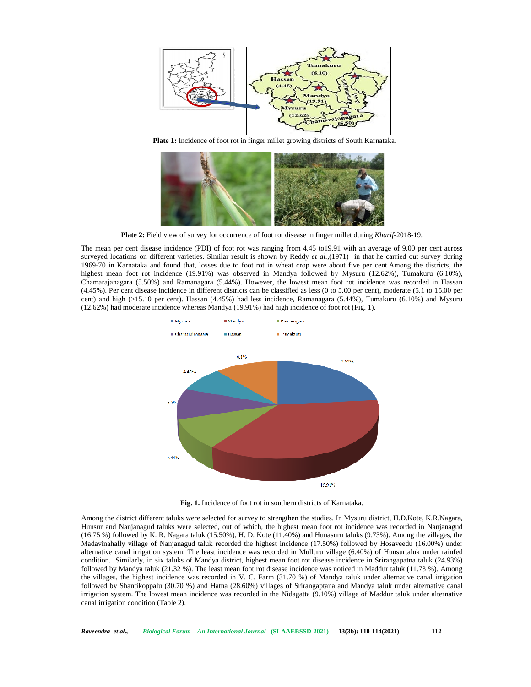

**Plate 1:** Incidence of foot rot in finger millet growing districts of South Karnataka.



**Plate 2:** Field view of survey for occurrence of foot rot disease in finger millet during *Kharif*-2018-19.

The mean per cent disease incidence (PDI) of foot rot was ranging from 4.45 to19.91 with an average of 9.00 per cent across surveyed locations on different varieties. Similar result is shown by Reddy *et al.,*(1971) in that he carried out survey during 1969-70 in Karnataka and found that, losses due to foot rot in wheat crop were about five per cent.Among the districts, the highest mean foot rot incidence (19.91%) was observed in Mandya followed by Mysuru (12.62%), Tumakuru (6.10%), Chamarajanagara (5.50%) and Ramanagara (5.44%). However, the lowest mean foot rot incidence was recorded in Hassan (4.45%). Per cent disease incidence in different districts can be classified as less (0 to 5.00 per cent), moderate (5.1 to 15.00 per cent) and high (>15.10 per cent). Hassan (4.45%) had less incidence, Ramanagara (5.44%), Tumakuru (6.10%) and Mysuru (12.62%) had moderate incidence whereas Mandya (19.91%) had high incidence of foot rot (Fig. 1).



**Fig. 1.** Incidence of foot rot in southern districts of Karnataka.

Among the district different taluks were selected for survey to strengthen the studies. In Mysuru district, H.D.Kote, K.R.Nagara, Hunsur and Nanjanagud taluks were selected, out of which, the highest mean foot rot incidence was recorded in Nanjanagud (16.75 %) followed by K. R. Nagara taluk (15.50%), H. D. Kote (11.40%) and Hunasuru taluks (9.73%). Among the villages, the Madavinahally village of Nanjanagud taluk recorded the highest incidence (17.50%) followed by Hosaveedu (16.00%) under alternative canal irrigation system. The least incidence was recorded in Mulluru village (6.40%) of Hunsurtaluk under rainfed condition. Similarly, in six taluks of Mandya district, highest mean foot rot disease incidence in Srirangapatna taluk (24.93%) followed by Mandya taluk (21.32 %). The least mean foot rot disease incidence was noticed in Maddur taluk (11.73 %). Among the villages, the highest incidence was recorded in V. C. Farm (31.70 %) of Mandya taluk under alternative canal irrigation followed by Shantikoppalu (30.70 %) and Hatna (28.60%) villages of Srirangaptana and Mandya taluk under alternative canal irrigation system. The lowest mean incidence was recorded in the Nidagatta (9.10%) village of Maddur taluk under alternative canal irrigation condition (Table 2).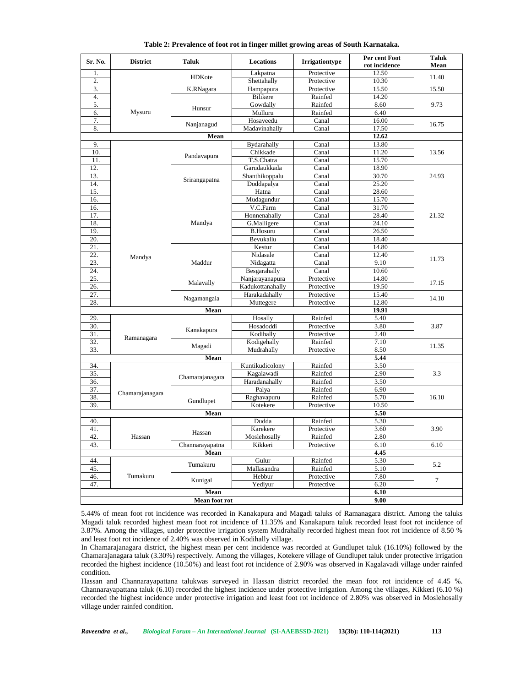| Sr. No.                        | <b>District</b> | Taluk               | Locations        | <b>Irrigationtype</b> | Per cent Foot<br>rot incidence | <b>Taluk</b><br>Mean |
|--------------------------------|-----------------|---------------------|------------------|-----------------------|--------------------------------|----------------------|
| 1.                             |                 | HDKote              | Lakpatna         | Protective            | 12.50                          |                      |
| 2.                             |                 |                     | Shettahally      | Protective            | 10.30                          | 11.40                |
| 3.                             |                 | K.RNagara           | Hampapura        | Protective            | 15.50                          | 15.50                |
| $\overline{4}$ .               |                 |                     | <b>Bilikere</b>  | Rainfed               | 14.20                          |                      |
| 5.                             |                 | Hunsur              | Gowdally         | Rainfed               | 8.60                           | 9.73                 |
| 6.                             | Mysuru          |                     | Mulluru          | Rainfed               | 6.40                           |                      |
| 7.                             |                 |                     | Hosaveedu        | Canal                 | 16.00                          | 16.75                |
| 8.                             |                 | Nanjanagud          | Madavinahally    | Canal                 | 17.50                          |                      |
|                                |                 | 12.62               |                  |                       |                                |                      |
| 9.                             |                 |                     | Bydarahally      | Canal                 | 13.80                          |                      |
| 10.                            |                 | Pandavapura         | Chikkade         | Canal                 | 11.20                          | 13.56                |
| 11.                            |                 |                     | T.S.Chatra       | Canal                 | 15.70                          |                      |
| 12.                            |                 | Srirangapatna       | Garudaukkada     | Canal                 | 18.90                          | 24.93                |
| 13.                            |                 |                     | Shanthikoppalu   | Canal                 | 30.70                          |                      |
| 14.                            |                 |                     | Doddapalya       | Canal                 | 25.20                          |                      |
| 15.                            |                 |                     | Hatna            | Canal                 | 28.60                          |                      |
| 16.                            |                 |                     | Mudagundur       | Canal                 | 15.70                          |                      |
| 16.                            |                 |                     | V.C.Farm         | Canal                 | 31.70                          |                      |
| 17.                            |                 |                     | Honnenahally     | Canal                 | 28.40                          | 21.32                |
| 18.                            |                 | Mandya              | G.Malligere      | Canal                 | 24.10                          |                      |
| 19.                            |                 |                     | <b>B.Hosuru</b>  | Canal                 | 26.50                          |                      |
| 20.                            |                 |                     | Bevukallu        | Canal                 | 18.40                          |                      |
| 21.                            |                 | Maddur              | Kestur           | Canal                 | 14.80                          | 11.73<br>17.15       |
| 22.                            | Mandya          |                     | Nidasale         | Canal                 | 12.40                          |                      |
| 23.                            |                 |                     | Nidagatta        | Canal                 | 9.10                           |                      |
| 24.                            |                 |                     | Besgarahally     | Canal                 | 10.60                          |                      |
| 25.                            |                 | Malavally           | Nanjarayanapura  | Protective            | 14.80                          |                      |
| 26.                            |                 |                     | Kadukottanahally | Protective            | 19.50                          |                      |
| 27.                            |                 | Nagamangala<br>Mean | Harakadahally    | Protective            | 15.40                          | 14.10                |
| 28.                            |                 |                     | Muttegere        | Protective            | 12.80                          |                      |
|                                |                 | 19.91               |                  |                       |                                |                      |
| 29.                            |                 |                     | Hosally          | Rainfed               | 5.40                           |                      |
| 30.                            |                 | Kanakapura          | Hosadoddi        | Protective            | 3.80                           | 3.87                 |
| 31.                            | Ramanagara      |                     | Kodihally        | Protective            | 2.40                           |                      |
| 32.                            |                 | Magadi              | Kodigehally      | Rainfed               | 7.10                           | 11.35                |
| 33.                            |                 |                     | Mudrahally       | Protective            | 8.50                           |                      |
|                                |                 | Mean                |                  |                       | 5.44                           |                      |
| 34.                            |                 |                     | Kuntikudicolony  | Rainfed               | 3.50                           |                      |
| 35.                            |                 | Chamarajanagara     | Kagalawadi       | Rainfed               | 2.90                           | 3.3                  |
| 36.                            |                 |                     | Haradanahally    | Rainfed               | 3.50                           |                      |
| 37.                            | Chamarajanagara | Gundlupet<br>Mean   | Palya            | Rainfed               | 6.90                           |                      |
| 38.                            |                 |                     | Raghavapuru      | Rainfed               | 5.70                           | 16.10                |
| 39.                            |                 |                     | Kotekere         | Protective            | 10.50                          |                      |
|                                |                 | 5.50                |                  |                       |                                |                      |
| 40.                            |                 |                     | Dudda            | Rainfed               | 5.30                           |                      |
| 41.                            |                 | Hassan              | Karekere         | Protective            | 3.60                           | 3.90                 |
| 42                             | Hassan          |                     | Moslehosally     | Rainfed               | 2.80                           |                      |
| 43.<br>Channarayapatna<br>Mean |                 |                     | Kikkeri          | Protective            | 6.10                           | 6.10                 |
|                                |                 | 4.45                |                  |                       |                                |                      |
| 44.                            |                 | Tumakuru            | Gulur            | Rainfed               | 5.30                           | 5.2                  |
| 45.                            | Tumakuru        |                     | Mallasandra      | Rainfed               | 5.10                           |                      |
| 46.                            |                 | Kunigal             | Hebbur           | Protective            | 7.80                           | $\tau$               |
| 47.                            |                 | Mean                | Yediyur          | Protective            | 6.20                           |                      |
|                                |                 | 6.10                |                  |                       |                                |                      |
|                                |                 | 9.00                |                  |                       |                                |                      |

**Table 2: Prevalence of foot rot in finger millet growing areas of South Karnataka.**

5.44% of mean foot rot incidence was recorded in Kanakapura and Magadi taluks of Ramanagara district. Among the taluks Magadi taluk recorded highest mean foot rot incidence of 11.35% and Kanakapura taluk recorded least foot rot incidence of 3.87%. Among the villages, under protective irrigation system Mudrahally recorded highest mean foot rot incidence of 8.50 % and least foot rot incidence of 2.40% was observed in Kodihally village.

In Chamarajanagara district, the highest mean per cent incidence was recorded at Gundlupet taluk (16.10%) followed by the Chamarajanagara taluk (3.30%) respectively. Among the villages, Kotekere village of Gundlupet taluk under protective irrigation recorded the highest incidence (10.50%) and least foot rot incidence of 2.90% was observed in Kagalavadi village under rainfed condition.

Hassan and Channarayapattana talukwas surveyed in Hassan district recorded the mean foot rot incidence of 4.45 %. Channarayapattana taluk (6.10) recorded the highest incidence under protective irrigation. Among the villages, Kikkeri (6.10 %) recorded the highest incidence under protective irrigation and least foot rot incidence of 2.80% was observed in Moslehosally village under rainfed condition.